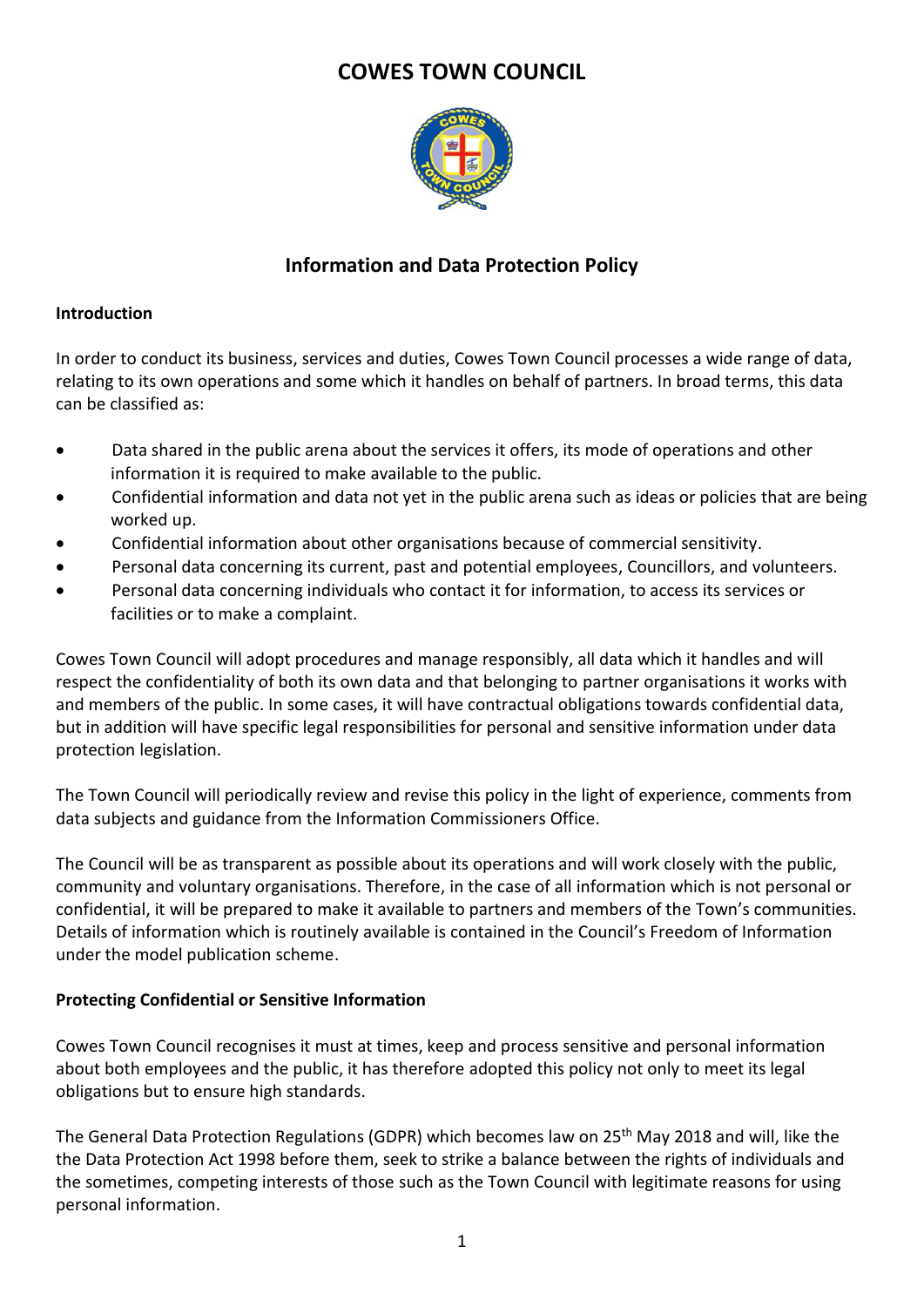# **COWES TOWN COUNCIL**



## **Information and Data Protection Policy**

#### **Introduction**

In order to conduct its business, services and duties, Cowes Town Council processes a wide range of data, relating to its own operations and some which it handles on behalf of partners. In broad terms, this data can be classified as:

- Data shared in the public arena about the services it offers, its mode of operations and other information it is required to make available to the public.
- Confidential information and data not yet in the public arena such as ideas or policies that are being worked up.
- Confidential information about other organisations because of commercial sensitivity.
- Personal data concerning its current, past and potential employees, Councillors, and volunteers.
- Personal data concerning individuals who contact it for information, to access its services or facilities or to make a complaint.

Cowes Town Council will adopt procedures and manage responsibly, all data which it handles and will respect the confidentiality of both its own data and that belonging to partner organisations it works with and members of the public. In some cases, it will have contractual obligations towards confidential data, but in addition will have specific legal responsibilities for personal and sensitive information under data protection legislation.

The Town Council will periodically review and revise this policy in the light of experience, comments from data subjects and guidance from the Information Commissioners Office.

The Council will be as transparent as possible about its operations and will work closely with the public, community and voluntary organisations. Therefore, in the case of all information which is not personal or confidential, it will be prepared to make it available to partners and members of the Town's communities. Details of information which is routinely available is contained in the Council's Freedom of Information under the model publication scheme.

#### **Protecting Confidential or Sensitive Information**

Cowes Town Council recognises it must at times, keep and process sensitive and personal information about both employees and the public, it has therefore adopted this policy not only to meet its legal obligations but to ensure high standards.

The General Data Protection Regulations (GDPR) which becomes law on 25<sup>th</sup> May 2018 and will, like the the Data Protection Act 1998 before them, seek to strike a balance between the rights of individuals and the sometimes, competing interests of those such as the Town Council with legitimate reasons for using personal information.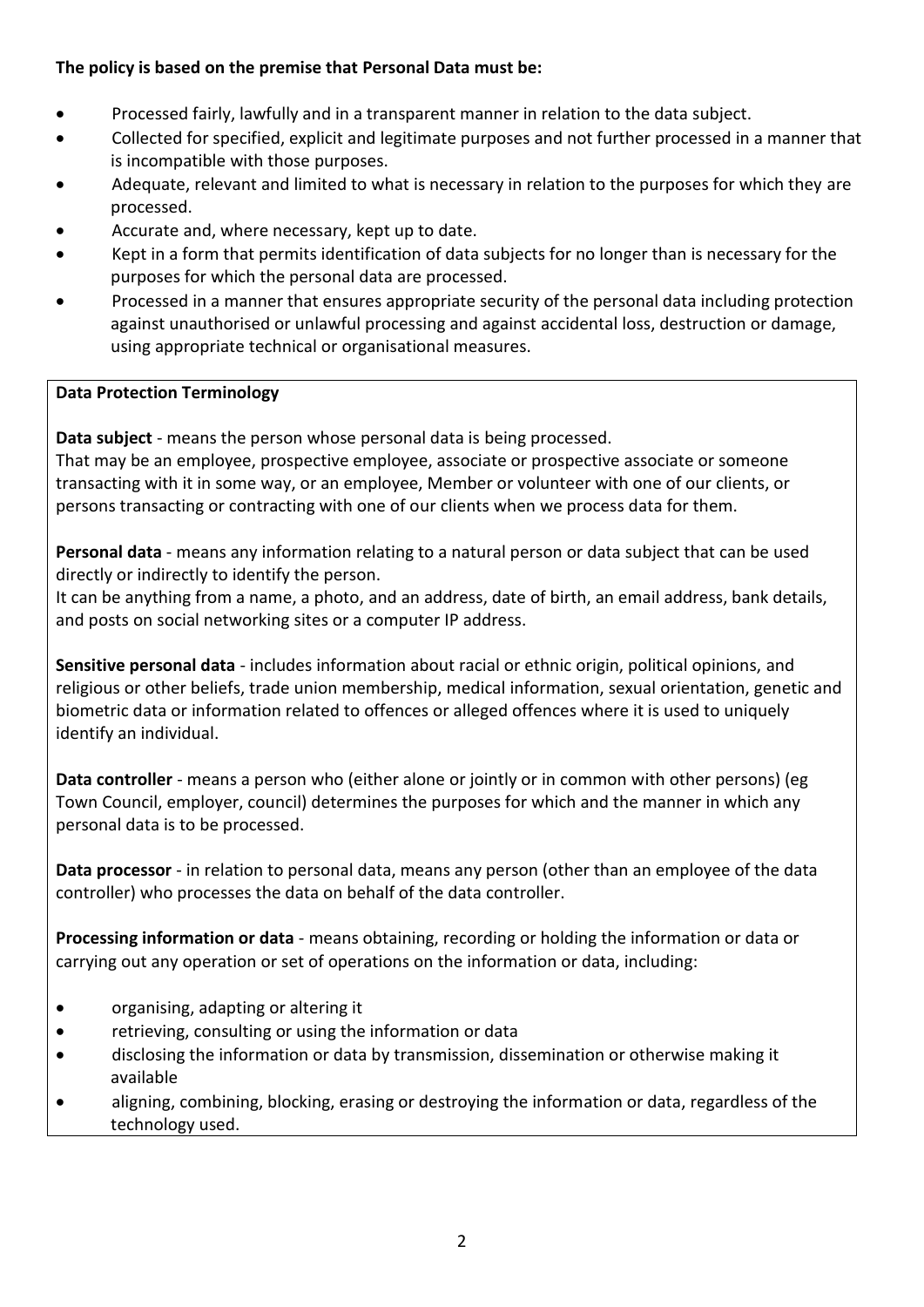## **The policy is based on the premise that Personal Data must be:**

- Processed fairly, lawfully and in a transparent manner in relation to the data subject.
- Collected for specified, explicit and legitimate purposes and not further processed in a manner that is incompatible with those purposes.
- Adequate, relevant and limited to what is necessary in relation to the purposes for which they are processed.
- Accurate and, where necessary, kept up to date.
- Kept in a form that permits identification of data subjects for no longer than is necessary for the purposes for which the personal data are processed.
- Processed in a manner that ensures appropriate security of the personal data including protection against unauthorised or unlawful processing and against accidental loss, destruction or damage, using appropriate technical or organisational measures.

## **Data Protection Terminology**

**Data subject** - means the person whose personal data is being processed.

That may be an employee, prospective employee, associate or prospective associate or someone transacting with it in some way, or an employee, Member or volunteer with one of our clients, or persons transacting or contracting with one of our clients when we process data for them.

**Personal data** - means any information relating to a natural person or data subject that can be used directly or indirectly to identify the person.

It can be anything from a name, a photo, and an address, date of birth, an email address, bank details, and posts on social networking sites or a computer IP address.

**Sensitive personal data** - includes information about racial or ethnic origin, political opinions, and religious or other beliefs, trade union membership, medical information, sexual orientation, genetic and biometric data or information related to offences or alleged offences where it is used to uniquely identify an individual.

**Data controller** - means a person who (either alone or jointly or in common with other persons) (eg Town Council, employer, council) determines the purposes for which and the manner in which any personal data is to be processed.

**Data processor** - in relation to personal data, means any person (other than an employee of the data controller) who processes the data on behalf of the data controller.

**Processing information or data** - means obtaining, recording or holding the information or data or carrying out any operation or set of operations on the information or data, including:

- organising, adapting or altering it
- retrieving, consulting or using the information or data
- disclosing the information or data by transmission, dissemination or otherwise making it available
- aligning, combining, blocking, erasing or destroying the information or data, regardless of the technology used.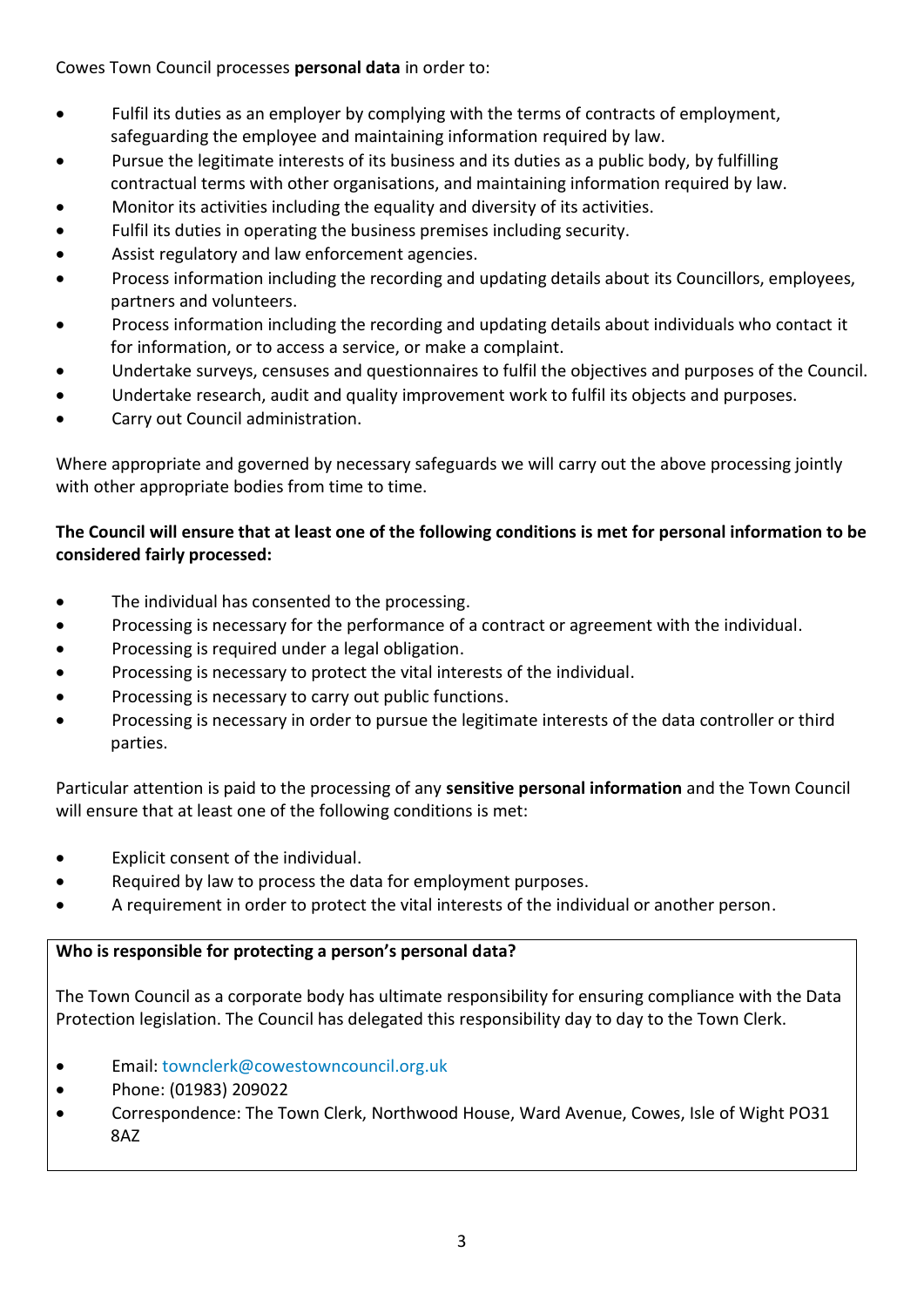Cowes Town Council processes **personal data** in order to:

- Fulfil its duties as an employer by complying with the terms of contracts of employment, safeguarding the employee and maintaining information required by law.
- Pursue the legitimate interests of its business and its duties as a public body, by fulfilling contractual terms with other organisations, and maintaining information required by law.
- Monitor its activities including the equality and diversity of its activities.
- Fulfil its duties in operating the business premises including security.
- Assist regulatory and law enforcement agencies.
- Process information including the recording and updating details about its Councillors, employees, partners and volunteers.
- Process information including the recording and updating details about individuals who contact it for information, or to access a service, or make a complaint.
- Undertake surveys, censuses and questionnaires to fulfil the objectives and purposes of the Council.
- Undertake research, audit and quality improvement work to fulfil its objects and purposes.
- Carry out Council administration.

Where appropriate and governed by necessary safeguards we will carry out the above processing jointly with other appropriate bodies from time to time.

## **The Council will ensure that at least one of the following conditions is met for personal information to be considered fairly processed:**

- The individual has consented to the processing.
- Processing is necessary for the performance of a contract or agreement with the individual.
- Processing is required under a legal obligation.
- Processing is necessary to protect the vital interests of the individual.
- Processing is necessary to carry out public functions.
- Processing is necessary in order to pursue the legitimate interests of the data controller or third parties.

Particular attention is paid to the processing of any **sensitive personal information** and the Town Council will ensure that at least one of the following conditions is met:

- Explicit consent of the individual.
- Required by law to process the data for employment purposes.
- A requirement in order to protect the vital interests of the individual or another person.

## **Who is responsible for protecting a person's personal data?**

The Town Council as a corporate body has ultimate responsibility for ensuring compliance with the Data Protection legislation. The Council has delegated this responsibility day to day to the Town Clerk.

- **Email: [townclerk@cowestowncouncil.org.uk](mailto:townclerk@cowestowncouncil.org.uk)**
- Phone: (01983) 209022
- Correspondence: The Town Clerk, Northwood House, Ward Avenue, Cowes, Isle of Wight PO31 8AZ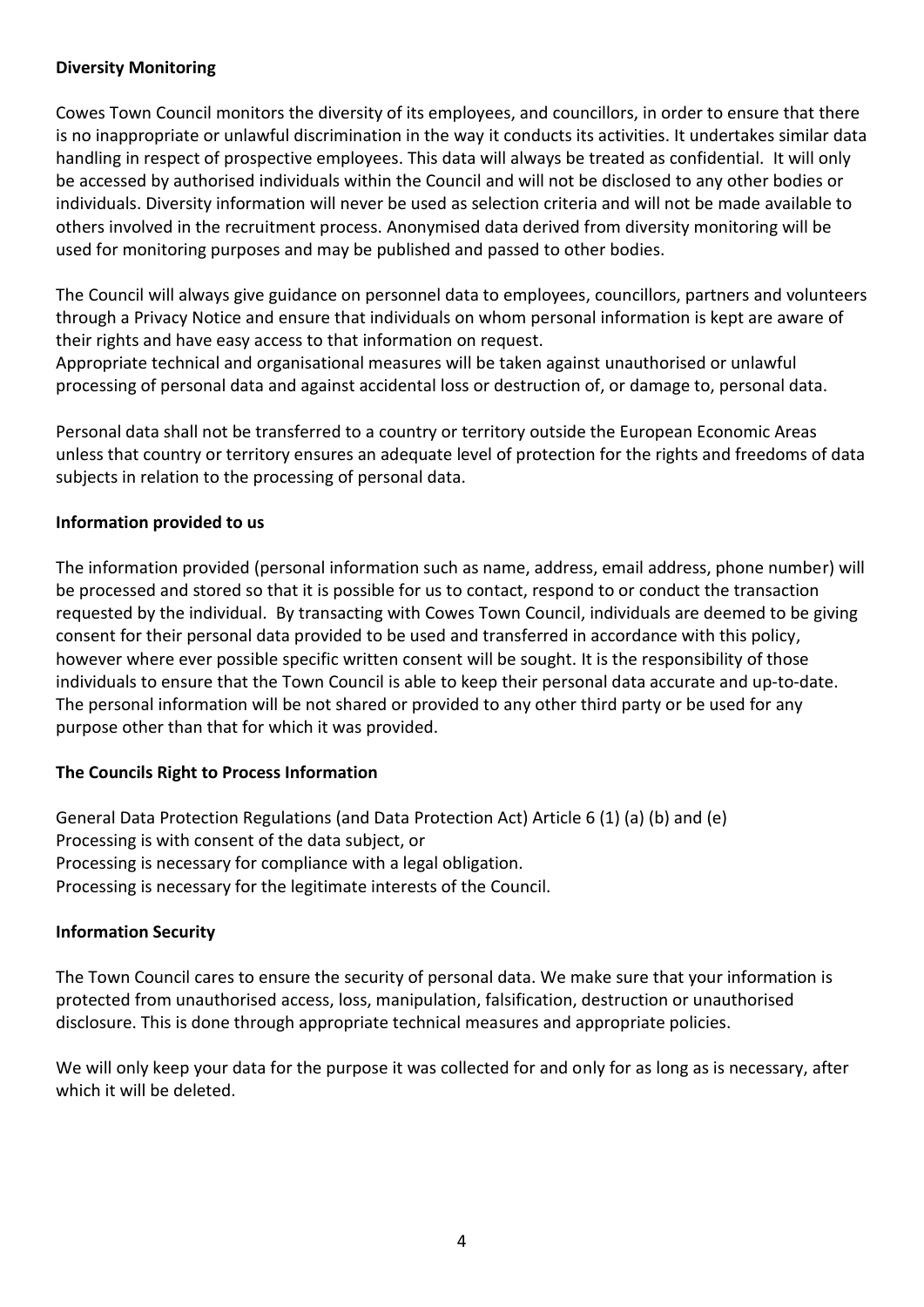#### **Diversity Monitoring**

Cowes Town Council monitors the diversity of its employees, and councillors, in order to ensure that there is no inappropriate or unlawful discrimination in the way it conducts its activities. It undertakes similar data handling in respect of prospective employees. This data will always be treated as confidential. It will only be accessed by authorised individuals within the Council and will not be disclosed to any other bodies or individuals. Diversity information will never be used as selection criteria and will not be made available to others involved in the recruitment process. Anonymised data derived from diversity monitoring will be used for monitoring purposes and may be published and passed to other bodies.

The Council will always give guidance on personnel data to employees, councillors, partners and volunteers through a Privacy Notice and ensure that individuals on whom personal information is kept are aware of their rights and have easy access to that information on request.

Appropriate technical and organisational measures will be taken against unauthorised or unlawful processing of personal data and against accidental loss or destruction of, or damage to, personal data.

Personal data shall not be transferred to a country or territory outside the European Economic Areas unless that country or territory ensures an adequate level of protection for the rights and freedoms of data subjects in relation to the processing of personal data.

#### **Information provided to us**

The information provided (personal information such as name, address, email address, phone number) will be processed and stored so that it is possible for us to contact, respond to or conduct the transaction requested by the individual. By transacting with Cowes Town Council, individuals are deemed to be giving consent for their personal data provided to be used and transferred in accordance with this policy, however where ever possible specific written consent will be sought. It is the responsibility of those individuals to ensure that the Town Council is able to keep their personal data accurate and up-to-date. The personal information will be not shared or provided to any other third party or be used for any purpose other than that for which it was provided.

#### **The Councils Right to Process Information**

General Data Protection Regulations (and Data Protection Act) Article 6 (1) (a) (b) and (e) Processing is with consent of the data subject, or Processing is necessary for compliance with a legal obligation. Processing is necessary for the legitimate interests of the Council.

#### **Information Security**

The Town Council cares to ensure the security of personal data. We make sure that your information is protected from unauthorised access, loss, manipulation, falsification, destruction or unauthorised disclosure. This is done through appropriate technical measures and appropriate policies.

We will only keep your data for the purpose it was collected for and only for as long as is necessary, after which it will be deleted.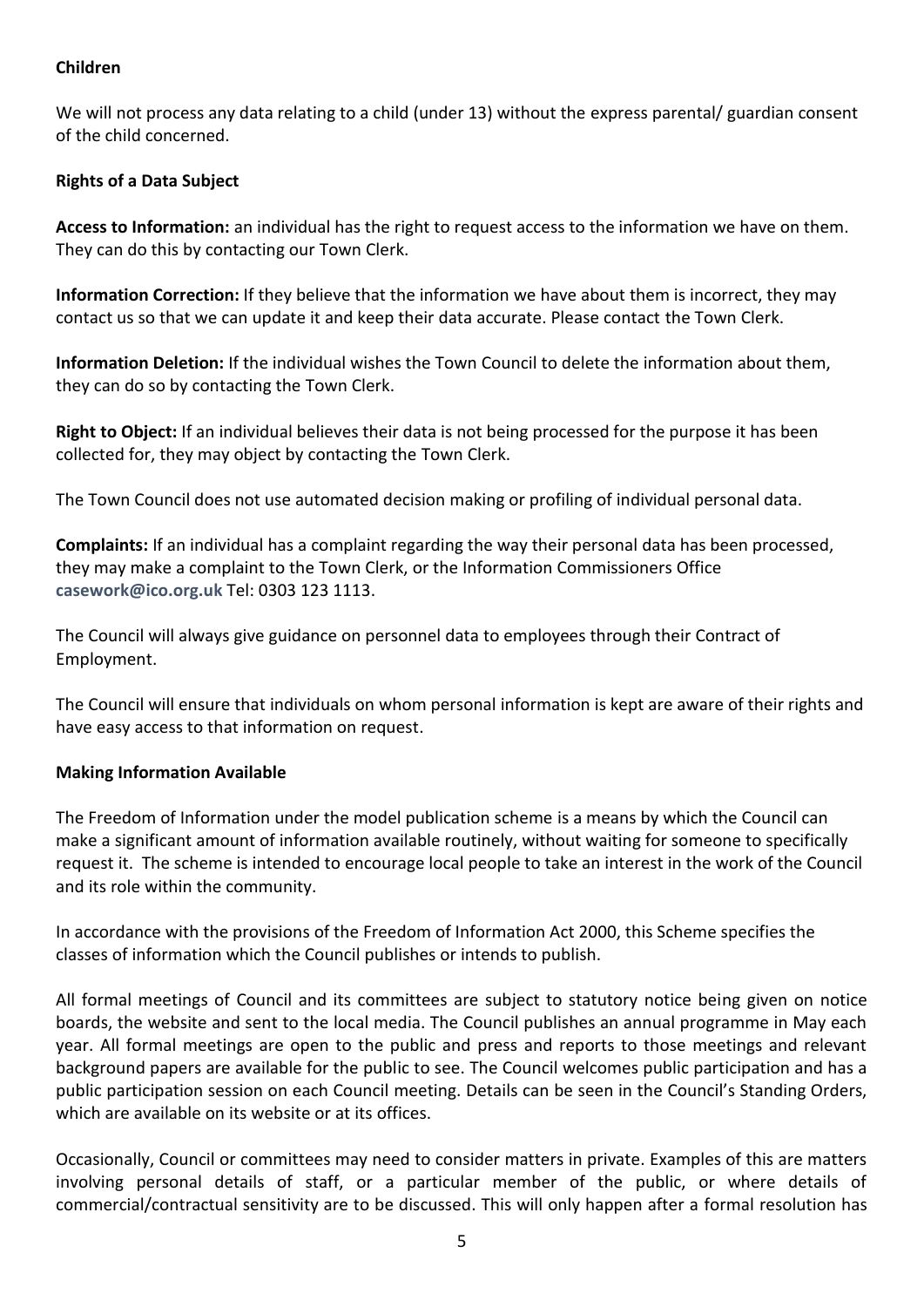#### **Children**

We will not process any data relating to a child (under 13) without the express parental/ guardian consent of the child concerned.

## **Rights of a Data Subject**

**Access to Information:** an individual has the right to request access to the information we have on them. They can do this by contacting our Town Clerk.

**Information Correction:** If they believe that the information we have about them is incorrect, they may contact us so that we can update it and keep their data accurate. Please contact the Town Clerk.

**Information Deletion:** If the individual wishes the Town Council to delete the information about them, they can do so by contacting the Town Clerk.

**Right to Object:** If an individual believes their data is not being processed for the purpose it has been collected for, they may object by contacting the Town Clerk.

The Town Council does not use automated decision making or profiling of individual personal data.

**Complaints:** If an individual has a complaint regarding the way their personal data has been processed, they may make a complaint to the Town Clerk, or the Information Commissioners Office **[casework@ico.org.uk](mailto:casework@ico.org.uk)** Tel: 0303 123 1113.

The Council will always give guidance on personnel data to employees through their Contract of Employment.

The Council will ensure that individuals on whom personal information is kept are aware of their rights and have easy access to that information on request.

#### **Making Information Available**

The Freedom of Information under the model publication scheme is a means by which the Council can make a significant amount of information available routinely, without waiting for someone to specifically request it. The scheme is intended to encourage local people to take an interest in the work of the Council and its role within the community.

In accordance with the provisions of the Freedom of Information Act 2000, this Scheme specifies the classes of information which the Council publishes or intends to publish.

All formal meetings of Council and its committees are subject to statutory notice being given on notice boards, the website and sent to the local media. The Council publishes an annual programme in May each year. All formal meetings are open to the public and press and reports to those meetings and relevant background papers are available for the public to see. The Council welcomes public participation and has a public participation session on each Council meeting. Details can be seen in the Council's Standing Orders, which are available on its website or at its offices.

Occasionally, Council or committees may need to consider matters in private. Examples of this are matters involving personal details of staff, or a particular member of the public, or where details of commercial/contractual sensitivity are to be discussed. This will only happen after a formal resolution has